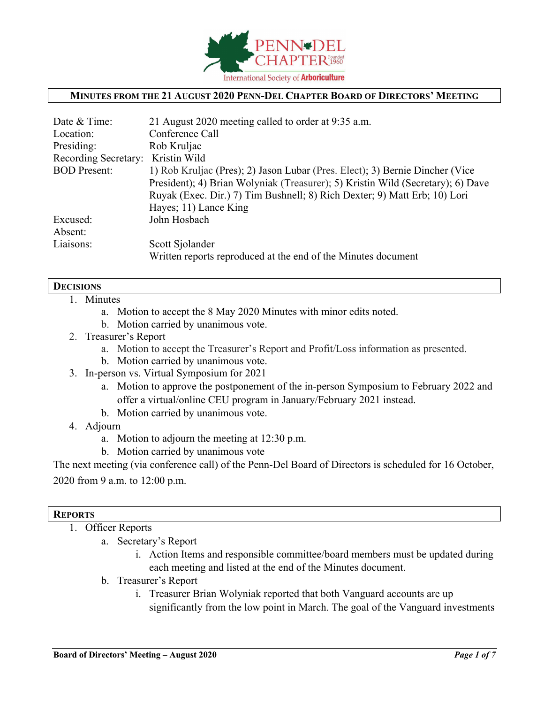

## **MINUTES FROM THE 21 AUGUST 2020 PENN-DEL CHAPTER BOARD OF DIRECTORS' MEETING**

| Date & Time:         | 21 August 2020 meeting called to order at 9:35 a.m.                             |
|----------------------|---------------------------------------------------------------------------------|
| Location:            | Conference Call                                                                 |
| Presiding:           | Rob Kruljac                                                                     |
| Recording Secretary: | Kristin Wild                                                                    |
| <b>BOD</b> Present:  | 1) Rob Kruljac (Pres); 2) Jason Lubar (Pres. Elect); 3) Bernie Dincher (Vice    |
|                      | President); 4) Brian Wolyniak (Treasurer); 5) Kristin Wild (Secretary); 6) Dave |
|                      | Ruyak (Exec. Dir.) 7) Tim Bushnell; 8) Rich Dexter; 9) Matt Erb; 10) Lori       |
|                      | Hayes; 11) Lance King                                                           |
| Excused:             | John Hosbach                                                                    |
| Absent:              |                                                                                 |
| Liaisons:            | Scott Sjolander                                                                 |
|                      | Written reports reproduced at the end of the Minutes document                   |

#### **DECISIONS**

- 1. Minutes
	- a. Motion to accept the 8 May 2020 Minutes with minor edits noted.
	- b. Motion carried by unanimous vote.
- 2. Treasurer's Report
	- a. Motion to accept the Treasurer's Report and Profit/Loss information as presented.
	- b. Motion carried by unanimous vote.
- 3. In-person vs. Virtual Symposium for 2021
	- a. Motion to approve the postponement of the in-person Symposium to February 2022 and offer a virtual/online CEU program in January/February 2021 instead.
	- b. Motion carried by unanimous vote.
- 4. Adjourn
	- a. Motion to adjourn the meeting at 12:30 p.m.
	- b. Motion carried by unanimous vote

The next meeting (via conference call) of the Penn-Del Board of Directors is scheduled for 16 October, 2020 from 9 a.m. to 12:00 p.m.

### **REPORTS**

- 1. Officer Reports
	- a. Secretary's Report
		- i. Action Items and responsible committee/board members must be updated during each meeting and listed at the end of the Minutes document.
	- b. Treasurer's Report
		- i. Treasurer Brian Wolyniak reported that both Vanguard accounts are up significantly from the low point in March. The goal of the Vanguard investments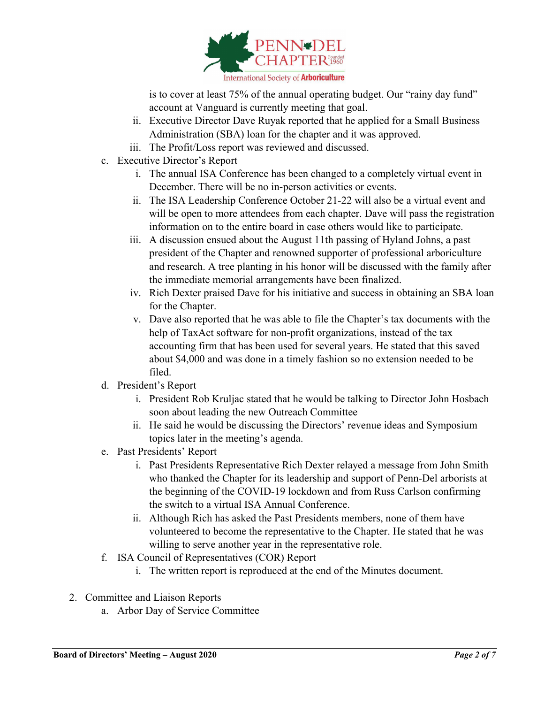

is to cover at least 75% of the annual operating budget. Our "rainy day fund" account at Vanguard is currently meeting that goal.

- ii. Executive Director Dave Ruyak reported that he applied for a Small Business Administration (SBA) loan for the chapter and it was approved.
- iii. The Profit/Loss report was reviewed and discussed.
- c. Executive Director's Report
	- i. The annual ISA Conference has been changed to a completely virtual event in December. There will be no in-person activities or events.
	- ii. The ISA Leadership Conference October 21-22 will also be a virtual event and will be open to more attendees from each chapter. Dave will pass the registration information on to the entire board in case others would like to participate.
	- iii. A discussion ensued about the August 11th passing of Hyland Johns, a past president of the Chapter and renowned supporter of professional arboriculture and research. A tree planting in his honor will be discussed with the family after the immediate memorial arrangements have been finalized.
	- iv. Rich Dexter praised Dave for his initiative and success in obtaining an SBA loan for the Chapter.
	- v. Dave also reported that he was able to file the Chapter's tax documents with the help of TaxAct software for non-profit organizations, instead of the tax accounting firm that has been used for several years. He stated that this saved about \$4,000 and was done in a timely fashion so no extension needed to be filed.
- d. President's Report
	- i. President Rob Kruljac stated that he would be talking to Director John Hosbach soon about leading the new Outreach Committee
	- ii. He said he would be discussing the Directors' revenue ideas and Symposium topics later in the meeting's agenda.
- e. Past Presidents' Report
	- i. Past Presidents Representative Rich Dexter relayed a message from John Smith who thanked the Chapter for its leadership and support of Penn-Del arborists at the beginning of the COVID-19 lockdown and from Russ Carlson confirming the switch to a virtual ISA Annual Conference.
	- ii. Although Rich has asked the Past Presidents members, none of them have volunteered to become the representative to the Chapter. He stated that he was willing to serve another year in the representative role.
- f. ISA Council of Representatives (COR) Report
	- i. The written report is reproduced at the end of the Minutes document.
- 2. Committee and Liaison Reports
	- a. Arbor Day of Service Committee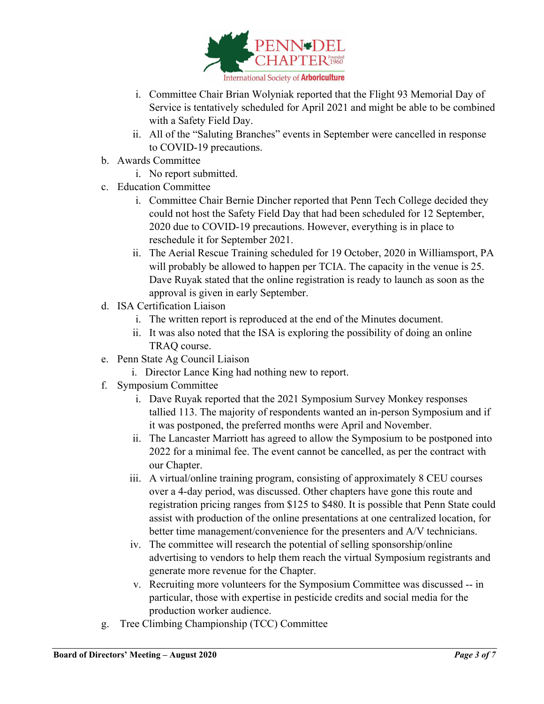

- i. Committee Chair Brian Wolyniak reported that the Flight 93 Memorial Day of Service is tentatively scheduled for April 2021 and might be able to be combined with a Safety Field Day.
- ii. All of the "Saluting Branches" events in September were cancelled in response to COVID-19 precautions.
- b. Awards Committee
	- i. No report submitted.
- c. Education Committee
	- i. Committee Chair Bernie Dincher reported that Penn Tech College decided they could not host the Safety Field Day that had been scheduled for 12 September, 2020 due to COVID-19 precautions. However, everything is in place to reschedule it for September 2021.
	- ii. The Aerial Rescue Training scheduled for 19 October, 2020 in Williamsport, PA will probably be allowed to happen per TCIA. The capacity in the venue is 25. Dave Ruyak stated that the online registration is ready to launch as soon as the approval is given in early September.
- d. ISA Certification Liaison
	- i. The written report is reproduced at the end of the Minutes document.
	- ii. It was also noted that the ISA is exploring the possibility of doing an online TRAQ course.
- e. Penn State Ag Council Liaison
	- i. Director Lance King had nothing new to report.
- f. Symposium Committee
	- i. Dave Ruyak reported that the 2021 Symposium Survey Monkey responses tallied 113. The majority of respondents wanted an in-person Symposium and if it was postponed, the preferred months were April and November.
	- ii. The Lancaster Marriott has agreed to allow the Symposium to be postponed into 2022 for a minimal fee. The event cannot be cancelled, as per the contract with our Chapter.
	- iii. A virtual/online training program, consisting of approximately 8 CEU courses over a 4-day period, was discussed. Other chapters have gone this route and registration pricing ranges from \$125 to \$480. It is possible that Penn State could assist with production of the online presentations at one centralized location, for better time management/convenience for the presenters and A/V technicians.
	- iv. The committee will research the potential of selling sponsorship/online advertising to vendors to help them reach the virtual Symposium registrants and generate more revenue for the Chapter.
	- v. Recruiting more volunteers for the Symposium Committee was discussed -- in particular, those with expertise in pesticide credits and social media for the production worker audience.
- g. Tree Climbing Championship (TCC) Committee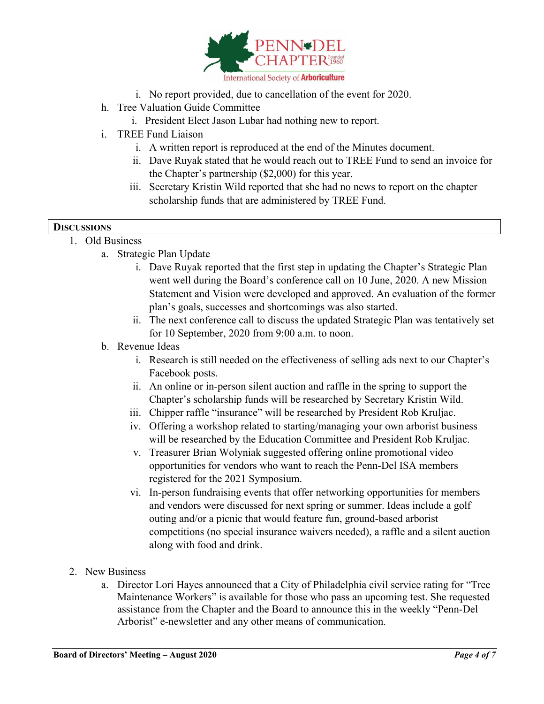

- i. No report provided, due to cancellation of the event for 2020.
- h. Tree Valuation Guide Committee
	- i. President Elect Jason Lubar had nothing new to report.
- i. TREE Fund Liaison
	- i. A written report is reproduced at the end of the Minutes document.
	- ii. Dave Ruyak stated that he would reach out to TREE Fund to send an invoice for the Chapter's partnership (\$2,000) for this year.
	- iii. Secretary Kristin Wild reported that she had no news to report on the chapter scholarship funds that are administered by TREE Fund.

## **DISCUSSIONS**

## $\overline{1}$  Old Business

- a. Strategic Plan Update
	- i. Dave Ruyak reported that the first step in updating the Chapter's Strategic Plan went well during the Board's conference call on 10 June, 2020. A new Mission Statement and Vision were developed and approved. An evaluation of the former plan's goals, successes and shortcomings was also started.
	- ii. The next conference call to discuss the updated Strategic Plan was tentatively set for 10 September, 2020 from 9:00 a.m. to noon.

## b. Revenue Ideas

- i. Research is still needed on the effectiveness of selling ads next to our Chapter's Facebook posts.
- ii. An online or in-person silent auction and raffle in the spring to support the Chapter's scholarship funds will be researched by Secretary Kristin Wild.
- iii. Chipper raffle "insurance" will be researched by President Rob Kruljac.
- iv. Offering a workshop related to starting/managing your own arborist business will be researched by the Education Committee and President Rob Kruljac.
- v. Treasurer Brian Wolyniak suggested offering online promotional video opportunities for vendors who want to reach the Penn-Del ISA members registered for the 2021 Symposium.
- vi. In-person fundraising events that offer networking opportunities for members and vendors were discussed for next spring or summer. Ideas include a golf outing and/or a picnic that would feature fun, ground-based arborist competitions (no special insurance waivers needed), a raffle and a silent auction along with food and drink.
- 2. New Business
	- a. Director Lori Hayes announced that a City of Philadelphia civil service rating for "Tree Maintenance Workers" is available for those who pass an upcoming test. She requested assistance from the Chapter and the Board to announce this in the weekly "Penn-Del Arborist" e-newsletter and any other means of communication.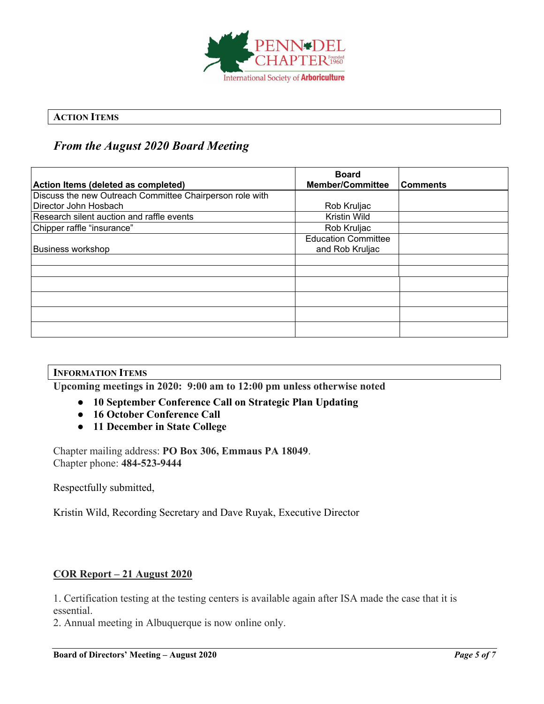

# **ACTION ITEMS**

# *From the August 2020 Board Meeting*

| Action Items (deleted as completed)                      | <b>Board</b><br><b>Member/Committee</b> | Comments |
|----------------------------------------------------------|-----------------------------------------|----------|
| Discuss the new Outreach Committee Chairperson role with |                                         |          |
| Director John Hosbach                                    | Rob Kruljac                             |          |
|                                                          |                                         |          |
| Research silent auction and raffle events                | Kristin Wild                            |          |
| Chipper raffle "insurance"                               | Rob Kruljac                             |          |
|                                                          | <b>Education Committee</b>              |          |
| <b>Business workshop</b>                                 | and Rob Kruljac                         |          |
|                                                          |                                         |          |
|                                                          |                                         |          |
|                                                          |                                         |          |
|                                                          |                                         |          |
|                                                          |                                         |          |
|                                                          |                                         |          |

### **INFORMATION ITEMS**

**Upcoming meetings in 2020: 9:00 am to 12:00 pm unless otherwise noted**

- **10 September Conference Call on Strategic Plan Updating**
- **16 October Conference Call**
- **11 December in State College**

Chapter mailing address: **PO Box 306, Emmaus PA 18049**. Chapter phone: **484-523-9444**

Respectfully submitted,

Kristin Wild, Recording Secretary and Dave Ruyak, Executive Director

## **COR Report – 21 August 2020**

1. Certification testing at the testing centers is available again after ISA made the case that it is essential.

2. Annual meeting in Albuquerque is now online only.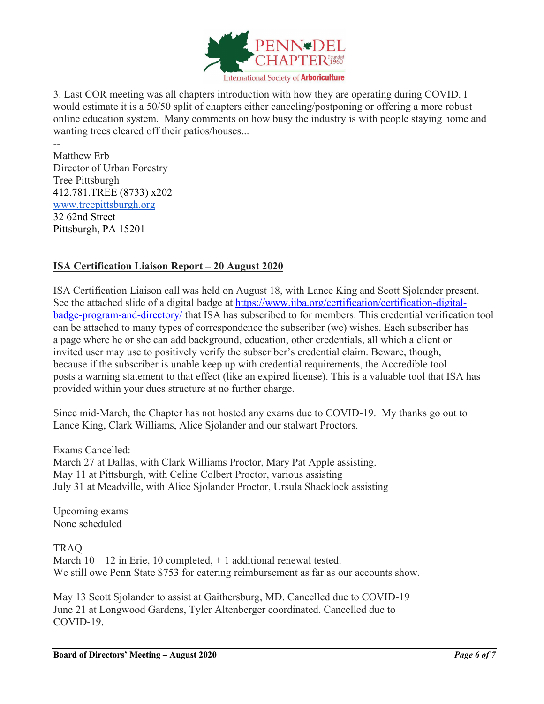

3. Last COR meeting was all chapters introduction with how they are operating during COVID. I would estimate it is a 50/50 split of chapters either canceling/postponing or offering a more robust online education system. Many comments on how busy the industry is with people staying home and wanting trees cleared off their patios/houses...

Matthew Erb Director of Urban Forestry Tree Pittsburgh 412.781.TREE (8733) x202 [www.treepittsburgh.org](http://www.treepittsburgh.org/) 32 62nd Street Pittsburgh, PA 15201

--

# **ISA Certification Liaison Report – 20 August 2020**

ISA Certification Liaison call was held on August 18, with Lance King and Scott Sjolander present. See the attached slide of a digital badge at [https://www.iiba.org/certification/certification-digital](https://www.iiba.org/certification/certification-digital-badge-program-and-directory/)[badge-program-and-directory/](https://www.iiba.org/certification/certification-digital-badge-program-and-directory/) that ISA has subscribed to for members. This credential verification tool can be attached to many types of correspondence the subscriber (we) wishes. Each subscriber has a page where he or she can add background, education, other credentials, all which a client or invited user may use to positively verify the subscriber's credential claim. Beware, though, because if the subscriber is unable keep up with credential requirements, the Accredible tool posts a warning statement to that effect (like an expired license). This is a valuable tool that ISA has provided within your dues structure at no further charge.

Since mid-March, the Chapter has not hosted any exams due to COVID-19. My thanks go out to Lance King, Clark Williams, Alice Sjolander and our stalwart Proctors.

Exams Cancelled: March 27 at Dallas, with Clark Williams Proctor, Mary Pat Apple assisting. May 11 at Pittsburgh, with Celine Colbert Proctor, various assisting July 31 at Meadville, with Alice Sjolander Proctor, Ursula Shacklock assisting

Upcoming exams None scheduled

TRAQ March  $10 - 12$  in Erie, 10 completed,  $+ 1$  additional renewal tested. We still owe Penn State \$753 for catering reimbursement as far as our accounts show.

May 13 Scott Sjolander to assist at Gaithersburg, MD. Cancelled due to COVID-19 June 21 at Longwood Gardens, Tyler Altenberger coordinated. Cancelled due to COVID-19.